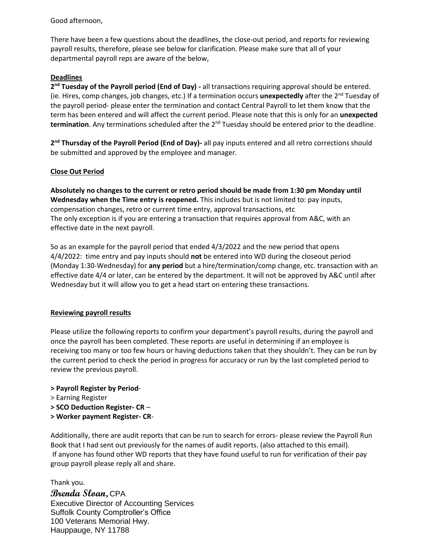Good afternoon,

There have been a few questions about the deadlines, the close-out period, and reports for reviewing payroll results, therefore, please see below for clarification. Please make sure that all of your departmental payroll reps are aware of the below,

## **Deadlines**

2<sup>nd</sup> Tuesday of the Payroll period (End of Day) - all transactions requiring approval should be entered. (ie. Hires, comp changes, job changes, etc.) If a termination occurs **unexpectedly** after the 2nd Tuesday of the payroll period- please enter the termination and contact Central Payroll to let them know that the term has been entered and will affect the current period. Please note that this is only for an **unexpected**  termination. Any terminations scheduled after the 2<sup>nd</sup> Tuesday should be entered prior to the deadline.

2<sup>nd</sup> Thursday of the Payroll Period (End of Day)- all pay inputs entered and all retro corrections should be submitted and approved by the employee and manager.

## **Close Out Period**

**Absolutely no changes to the current or retro period should be made from 1:30 pm Monday until Wednesday when the Time entry is reopened.** This includes but is not limited to: pay inputs, compensation changes, retro or current time entry, approval transactions, etc The only exception is if you are entering a transaction that requires approval from A&C, with an effective date in the next payroll.

So as an example for the payroll period that ended 4/3/2022 and the new period that opens 4/4/2022: time entry and pay inputs should **not** be entered into WD during the closeout period (Monday 1:30-Wednesday) for **any period** but a hire/termination/comp change, etc. transaction with an effective date 4/4 or later, can be entered by the department. It will not be approved by A&C until after Wednesday but it will allow you to get a head start on entering these transactions.

## **Reviewing payroll results**

Please utilize the following reports to confirm your department's payroll results, during the payroll and once the payroll has been completed. These reports are useful in determining if an employee is receiving too many or too few hours or having deductions taken that they shouldn't. They can be run by the current period to check the period in progress for accuracy or run by the last completed period to review the previous payroll.

## **> Payroll Register by Period**-

- > Earning Register
- **> SCO Deduction Register- CR** –
- **> Worker payment Register- CR**-

Additionally, there are audit reports that can be run to search for errors- please review the Payroll Run Book that I had sent out previously for the names of audit reports. (also attached to this email). If anyone has found other WD reports that they have found useful to run for verification of their pay group payroll please reply all and share.

Thank you.

**Brenda Sloan,** CPA Executive Director of Accounting Services Suffolk County Comptroller's Office 100 Veterans Memorial Hwy. Hauppauge, NY 11788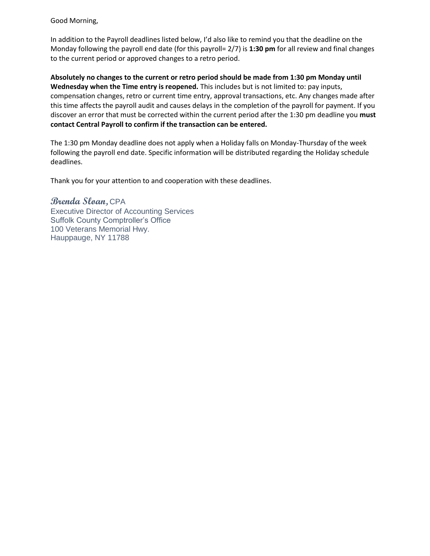Good Morning,

In addition to the Payroll deadlines listed below, I'd also like to remind you that the deadline on the Monday following the payroll end date (for this payroll= 2/7) is **1:30 pm** for all review and final changes to the current period or approved changes to a retro period.

**Absolutely no changes to the current or retro period should be made from 1:30 pm Monday until Wednesday when the Time entry is reopened.** This includes but is not limited to: pay inputs, compensation changes, retro or current time entry, approval transactions, etc. Any changes made after this time affects the payroll audit and causes delays in the completion of the payroll for payment. If you discover an error that must be corrected within the current period after the 1:30 pm deadline you **must contact Central Payroll to confirm if the transaction can be entered.** 

The 1:30 pm Monday deadline does not apply when a Holiday falls on Monday-Thursday of the week following the payroll end date. Specific information will be distributed regarding the Holiday schedule deadlines.

Thank you for your attention to and cooperation with these deadlines.

**Brenda Sloan,** CPA Executive Director of Accounting Services Suffolk County Comptroller's Office 100 Veterans Memorial Hwy. Hauppauge, NY 11788